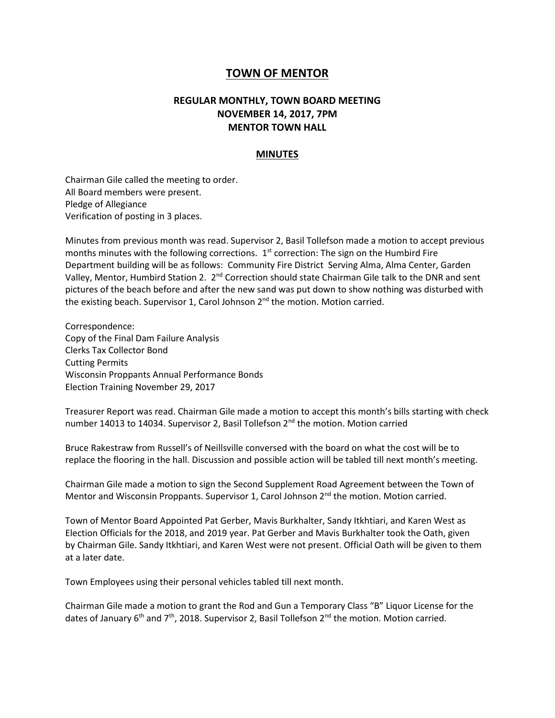## **TOWN OF MENTOR**

## **REGULAR MONTHLY, TOWN BOARD MEETING NOVEMBER 14, 2017, 7PM MENTOR TOWN HALL**

## **MINUTES**

Chairman Gile called the meeting to order. All Board members were present. Pledge of Allegiance Verification of posting in 3 places.

Minutes from previous month was read. Supervisor 2, Basil Tollefson made a motion to accept previous months minutes with the following corrections.  $1<sup>st</sup>$  correction: The sign on the Humbird Fire Department building will be as follows: Community Fire District Serving Alma, Alma Center, Garden Valley, Mentor, Humbird Station 2. 2<sup>nd</sup> Correction should state Chairman Gile talk to the DNR and sent pictures of the beach before and after the new sand was put down to show nothing was disturbed with the existing beach. Supervisor 1, Carol Johnson 2<sup>nd</sup> the motion. Motion carried.

Correspondence: Copy of the Final Dam Failure Analysis Clerks Tax Collector Bond Cutting Permits Wisconsin Proppants Annual Performance Bonds Election Training November 29, 2017

Treasurer Report was read. Chairman Gile made a motion to accept this month's bills starting with check number 14013 to 14034. Supervisor 2, Basil Tollefson 2<sup>nd</sup> the motion. Motion carried

Bruce Rakestraw from Russell's of Neillsville conversed with the board on what the cost will be to replace the flooring in the hall. Discussion and possible action will be tabled till next month's meeting.

Chairman Gile made a motion to sign the Second Supplement Road Agreement between the Town of Mentor and Wisconsin Proppants. Supervisor 1, Carol Johnson  $2<sup>nd</sup>$  the motion. Motion carried.

Town of Mentor Board Appointed Pat Gerber, Mavis Burkhalter, Sandy Itkhtiari, and Karen West as Election Officials for the 2018, and 2019 year. Pat Gerber and Mavis Burkhalter took the Oath, given by Chairman Gile. Sandy Itkhtiari, and Karen West were not present. Official Oath will be given to them at a later date.

Town Employees using their personal vehicles tabled till next month.

Chairman Gile made a motion to grant the Rod and Gun a Temporary Class "B" Liquor License for the dates of January  $6<sup>th</sup>$  and  $7<sup>th</sup>$ , 2018. Supervisor 2, Basil Tollefson  $2<sup>nd</sup>$  the motion. Motion carried.